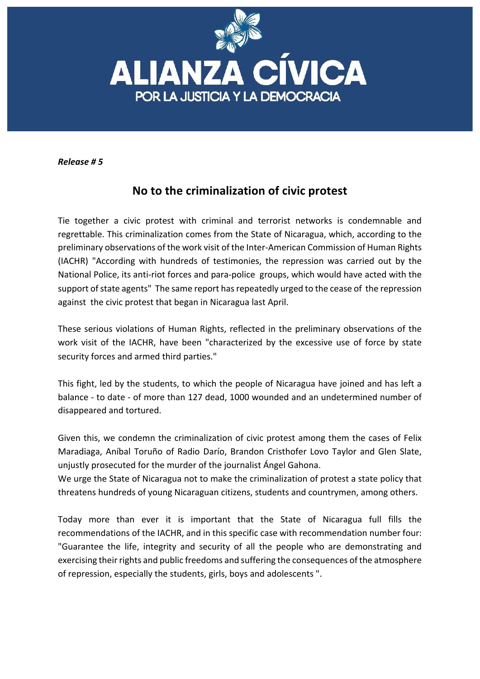

*Release # 5*

## **No to the criminalization of civic protest**

Tie together a civic protest with criminal and terrorist networks is condemnable and regrettable. This criminalization comes from the State of Nicaragua, which, according to the preliminary observations of the work visit of the Inter-American Commission of Human Rights (IACHR) "According with hundreds of testimonies, the repression was carried out by the National Police, its anti-riot forces and para-police groups, which would have acted with the support of state agents" The same report has repeatedly urged to the cease of the repression against the civic protest that began in Nicaragua last April.

These serious violations of Human Rights, reflected in the preliminary observations of the work visit of the IACHR, have been "characterized by the excessive use of force by state security forces and armed third parties."

This fight, led by the students, to which the people of Nicaragua have joined and has left a balance - to date - of more than 127 dead, 1000 wounded and an undetermined number of disappeared and tortured.

Given this, we condemn the criminalization of civic protest among them the cases of Felix Maradiaga, Aníbal Toruño of Radio Darío, Brandon Cristhofer Lovo Taylor and Glen Slate, unjustly prosecuted for the murder of the journalist Angel Gahona.

We urge the State of Nicaragua not to make the criminalization of protest a state policy that threatens hundreds of young Nicaraguan citizens, students and countrymen, among others.

Today more than ever it is important that the State of Nicaragua full fills the recommendations of the IACHR, and in this specific case with recommendation number four: "Guarantee the life, integrity and security of all the people who are demonstrating and exercising their rights and public freedoms and suffering the consequences of the atmosphere of repression, especially the students, girls, boys and adolescents ".